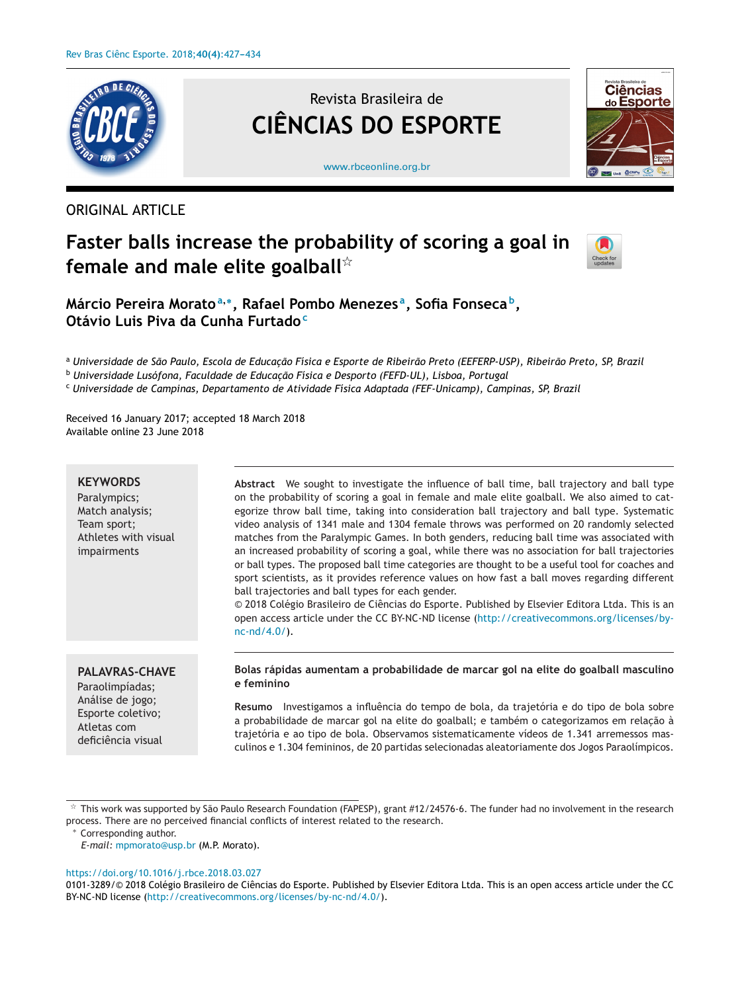

ORIGINAL ARTICLE

# Revista Brasileira de **CIÊNCIAS DO ESPORTE**



[www.rbceonline.org.br](http://www.rbceonline.org.br)

# **Faster balls increase the probability of scoring a goal in female and male elite goalball**-



**Márcio Pereira Morato<sup>a</sup>,∗, Rafael Pombo Menezes a, Sofia Fonseca b, Otávio Luis Piva da Cunha Furtado<sup>c</sup>**

a Universidade de São Paulo, Escola de Educação Física e Esporte de Ribeirão Preto (EEFERP-USP), Ribeirão Preto, SP, Brazil

<sup>b</sup> *Universidade Lusófona, Faculdade de Educac¸ão Física e Desporto (FEFD-UL), Lisboa, Portugal*

<sup>c</sup> *Universidade de Campinas, Departamento de Atividade Física Adaptada (FEF-Unicamp), Campinas, SP, Brazil*

Received 16 January 2017; accepted 18 March 2018 Available online 23 June 2018

## **KEYWORDS**

Paralympics; Match analysis; Team sport; Athletes with visual impairments

**Abstract** We sought to investigate the influence of ball time, ball trajectory and ball type on the probability of scoring a goal in female and male elite goalball. We also aimed to categorize throw ball time, taking into consideration ball trajectory and ball type. Systematic video analysis of 1341 male and 1304 female throws was performed on 20 randomly selected matches from the Paralympic Games. In both genders, reducing ball time was associated with an increased probability of scoring a goal, while there was no association for ball trajectories or ball types. The proposed ball time categories are thought to be a useful tool for coaches and sport scientists, as it provides reference values on how fast a ball moves regarding different ball trajectories and ball types for each gender.

© 2018 Colégio Brasileiro de Ciências do Esporte. Published by Elsevier Editora Ltda. This is an open access article under the CC BY-NC-ND license [\(http://creativecommons.org/licenses/by](http://creativecommons.org/licenses/by-nc-nd/4.0/)[nc-nd/4.0/](http://creativecommons.org/licenses/by-nc-nd/4.0/)).

# **PALAVRAS-CHAVE**

Paraolimpíadas; Análise de jogo; Esporte coletivo; Atletas com deficiência visual **Bolas rápidas aumentam a probabilidade de marcar gol na elite do goalball masculino e feminino**

**Resumo** Investigamos a influência do tempo de bola, da trajetória e do tipo de bola sobre a probabilidade de marcar gol na elite do goalball; e também o categorizamos em relação à trajetória e ao tipo de bola. Observamos sistematicamente vídeos de 1.341 arremessos masculinos e 1.304 femininos, de 20 partidas selecionadas aleatoriamente dos Jogos Paraolímpicos.

#### <https://doi.org/10.1016/j.rbce.2018.03.027>

t.<br>Ti This work was supported by São Paulo Research Foundation (FAPESP), grant #12/24576-6. The funder had no involvement in the research process. There are no perceived financial conflicts of interest related to the research.

Corresponding author.

*E-mail:* [mpmorato@usp.br](mailto:mpmorato@usp.br) (M.P. Morato).

<sup>0101-3289/© 2018</sup> Colégio Brasileiro de Ciências do Esporte. Published by Elsevier Editora Ltda. This is an open access article under the CC BY-NC-ND license (<http://creativecommons.org/licenses/by-nc-nd/4.0/>).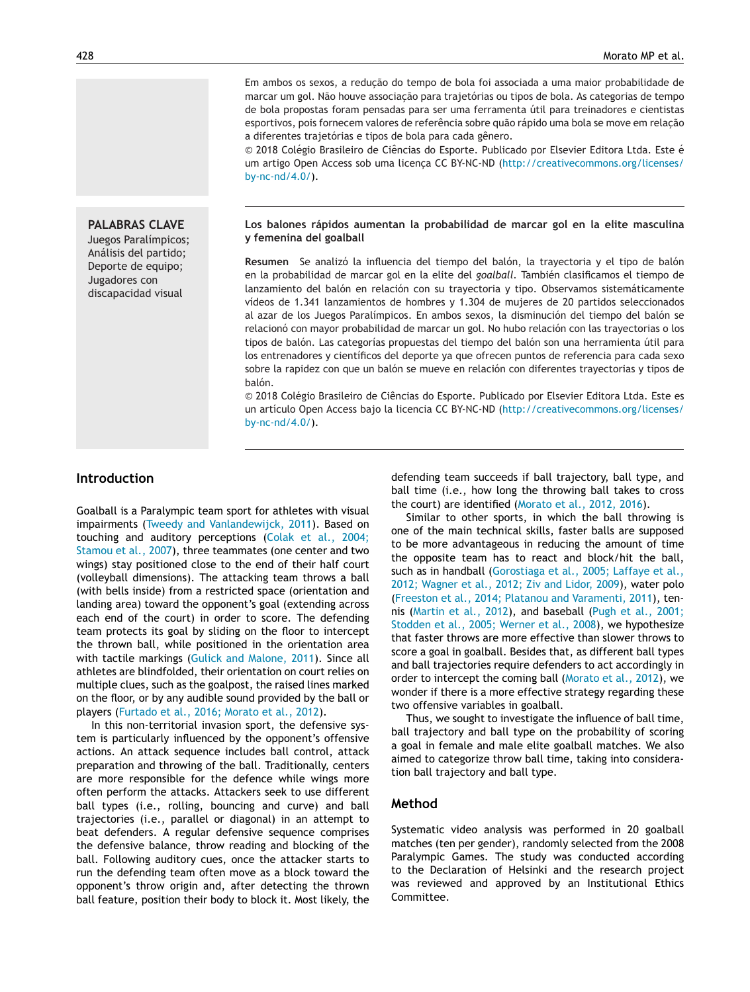Em ambos os sexos, a redução do tempo de bola foi associada a uma maior probabilidade de marcar um gol. Não houve associação para trajetórias ou tipos de bola. As categorias de tempo de bola propostas foram pensadas para ser uma ferramenta útil para treinadores e cientistas esportivos, pois fornecem valores de referência sobre quão rápido uma bola se move em relacão a diferentes trajetórias e tipos de bola para cada gênero.

© 2018 Colégio Brasileiro de Ciências do Esporte. Publicado por Elsevier Editora Ltda. Este é um artigo Open Access sob uma licença CC BY-NC-ND ([http://creativecommons.org/licenses/](http://creativecommons.org/licenses/by-nc-nd/4.0/) [by-nc-nd/4.0/\)](http://creativecommons.org/licenses/by-nc-nd/4.0/).

# **PALABRAS CLAVE**

Juegos Paralímpicos; Análisis del partido; Deporte de equipo; Jugadores con discapacidad visual

#### **Los balones rápidos aumentan la probabilidad de marcar gol en la elite masculina y femenina del goalball**

**Resumen** Se analizó la influencia del tiempo del balón, la trayectoria y el tipo de balón en la probabilidad de marcar gol en la elite del *goalball.* También clasificamos el tiempo de lanzamiento del balón en relación con su trayectoria y tipo. Observamos sistemáticamente vídeos de 1.341 lanzamientos de hombres y 1.304 de mujeres de 20 partidos seleccionados al azar de los Juegos Paralímpicos. En ambos sexos, la disminución del tiempo del balón se relacionó con mayor probabilidad de marcar un gol. No hubo relación con las trayectorias o los tipos de balón. Las categorías propuestas del tiempo del balón son una herramienta útil para los entrenadores y científicos del deporte ya que ofrecen puntos de referencia para cada sexo sobre la rapidez con que un balón se mueve en relación con diferentes trayectorias y tipos de balón.

© 2018 Colégio Brasileiro de Ciências do Esporte. Publicado por Elsevier Editora Ltda. Este es un artículo Open Access bajo la licencia CC BY-NC-ND ([http://creativecommons.org/licenses/](http://creativecommons.org/licenses/by-nc-nd/4.0/) [by-nc-nd/4.0/\)](http://creativecommons.org/licenses/by-nc-nd/4.0/).

# **Introduction**

Goalball is a Paralympic team sport for athletes with visual impairments ([Tweedy](#page-7-0) [and](#page-7-0) [Vanlandewijck,](#page-7-0) [2011\).](#page-7-0) Based on touching and auditory perceptions ([Colak](#page-6-0) et [al.,](#page-6-0) [2004;](#page-6-0) [Stamou](#page-6-0) et [al.,](#page-6-0) [2007\),](#page-6-0) three teammates (one center and two wings) stay positioned close to the end of their half court (volleyball dimensions). The attacking team throws a ball (with bells inside) from a restricted space (orientation and landing area) toward the opponent's goal (extending across each end of the court) in order to score. The defending team protects its goal by sliding on the floor to intercept the thrown ball, while positioned in the orientation area with tactile markings ([Gulick](#page-6-0) [and](#page-6-0) [Malone,](#page-6-0) [2011\).](#page-6-0) Since all athletes are blindfolded, their orientation on court relies on multiple clues, such as the goalpost, the raised lines marked on the floor, or by any audible sound provided by the ball or players ([Furtado](#page-6-0) et [al.,](#page-6-0) [2016;](#page-6-0) [Morato](#page-6-0) et [al.,](#page-6-0) [2012\).](#page-6-0)

In this non-territorial invasion sport, the defensive system is particularly influenced by the opponent's offensive actions. An attack sequence includes ball control, attack preparation and throwing of the ball. Traditionally, centers are more responsible for the defence while wings more often perform the attacks. Attackers seek to use different ball types (i.e., rolling, bouncing and curve) and ball trajectories (i.e., parallel or diagonal) in an attempt to beat defenders. A regular defensive sequence comprises the defensive balance, throw reading and blocking of the ball. Following auditory cues, once the attacker starts to run the defending team often move as a block toward the opponent's throw origin and, after detecting the thrown ball feature, position their body to block it. Most likely, the defending team succeeds if ball trajectory, ball type, and ball time (i.e., how long the throwing ball takes to cross the court) are identified [\(Morato](#page-6-0) et [al.,](#page-6-0) [2012,](#page-6-0) [2016\).](#page-6-0)

Similar to other sports, in which the ball throwing is one of the main technical skills, faster balls are supposed to be more advantageous in reducing the amount of time the opposite team has to react and block/hit the ball, such as in handball ([Gorostiaga](#page-6-0) et [al.,](#page-6-0) [2005;](#page-6-0) [Laffaye](#page-6-0) et [al.,](#page-6-0) [2012;](#page-6-0) [Wagner](#page-6-0) et [al.,](#page-6-0) [2012;](#page-6-0) [Ziv](#page-6-0) [and](#page-6-0) [Lidor,](#page-6-0) [2009\),](#page-6-0) water polo [\(Freeston](#page-6-0) et [al.,](#page-6-0) [2014;](#page-6-0) [Platanou](#page-6-0) [and](#page-6-0) [Varamenti,](#page-6-0) [2011\),](#page-6-0) tennis ([Martin](#page-6-0) et [al.,](#page-6-0) [2012\),](#page-6-0) and baseball [\(Pugh](#page-6-0) et [al.,](#page-6-0) [2001;](#page-6-0) [Stodden](#page-6-0) et [al.,](#page-6-0) [2005;](#page-6-0) [Werner](#page-6-0) et [al.,](#page-6-0) [2008\),](#page-6-0) we hypothesize that faster throws are more effective than slower throws to score a goal in goalball. Besides that, as different ball types and ball trajectories require defenders to act accordingly in order to intercept the coming ball [\(Morato](#page-6-0) et [al.,](#page-6-0) [2012\),](#page-6-0) we wonder if there is a more effective strategy regarding these two offensive variables in goalball.

Thus, we sought to investigate the influence of ball time, ball trajectory and ball type on the probability of scoring a goal in female and male elite goalball matches. We also aimed to categorize throw ball time, taking into consideration ball trajectory and ball type.

## **Method**

Systematic video analysis was performed in 20 goalball matches (ten per gender), randomly selected from the 2008 Paralympic Games. The study was conducted according to the Declaration of Helsinki and the research project was reviewed and approved by an Institutional Ethics Committee.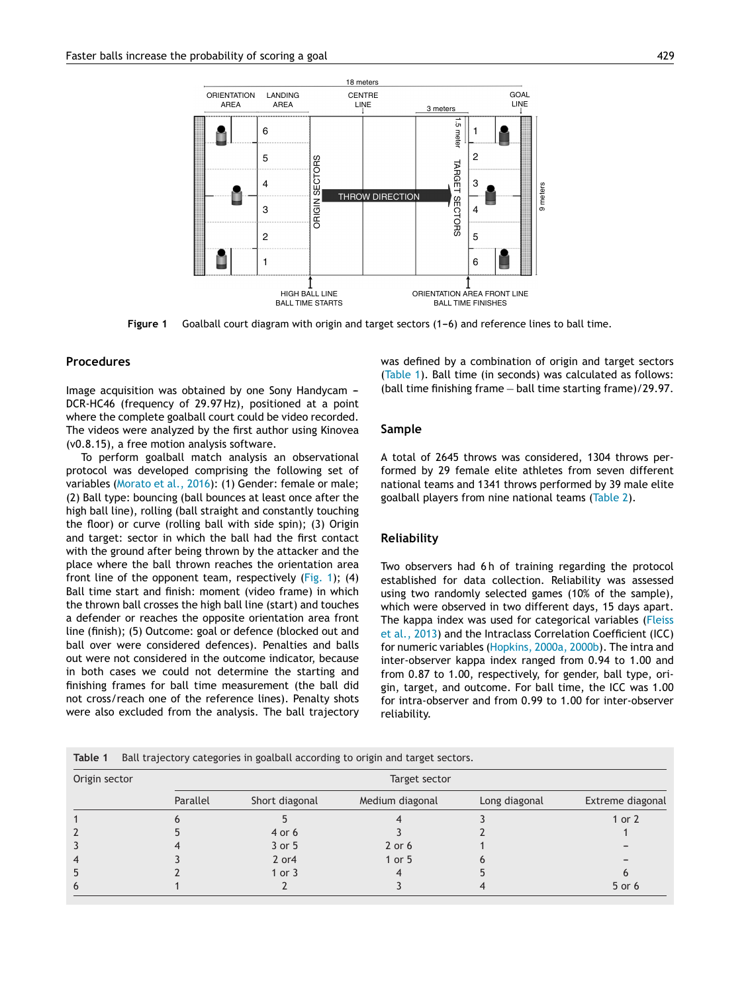

**Figure 1** Goalball court diagram with origin and target sectors (1-6) and reference lines to ball time.

#### **Procedures**

Image acquisition was obtained by one Sony Handycam  $-$ DCR-HC46 (frequency of 29.97 Hz), positioned at a point where the complete goalball court could be video recorded. The videos were analyzed by the first author using Kinovea (v0.8.15), a free motion analysis software.

To perform goalball match analysis an observational protocol was developed comprising the following set of variables [\(Morato](#page-6-0) et [al.,](#page-6-0) [2016\):](#page-6-0) (1) Gender: female or male; (2) Ball type: bouncing (ball bounces at least once after the high ball line), rolling (ball straight and constantly touching the floor) or curve (rolling ball with side spin); (3) Origin and target: sector in which the ball had the first contact with the ground after being thrown by the attacker and the place where the ball thrown reaches the orientation area front line of the opponent team, respectively (Fig. 1); (4) Ball time start and finish: moment (video frame) in which the thrown ball crosses the high ball line (start) and touches a defender or reaches the opposite orientation area front line (finish); (5) Outcome: goal or defence (blocked out and ball over were considered defences). Penalties and balls out were not considered in the outcome indicator, because in both cases we could not determine the starting and finishing frames for ball time measurement (the ball did not cross/reach one of the reference lines). Penalty shots were also excluded from the analysis. The ball trajectory was defined by a combination of origin and target sectors (Table 1). Ball time (in seconds) was calculated as follows: (ball time finishing frame − ball time starting frame)/29.97.

#### **Sample**

A total of 2645 throws was considered, 1304 throws performed by 29 female elite athletes from seven different national teams and 1341 throws performed by 39 male elite goalball players from nine national teams ([Table](#page-3-0) 2).

#### **Reliability**

Two observers had 6h of training regarding the protocol established for data collection. Reliability was assessed using two randomly selected games (10% of the sample), which were observed in two different days, 15 days apart. The kappa index was used for categorical variables ([Fleiss](#page-6-0) et [al.,](#page-6-0) [2013\)](#page-6-0) and the Intraclass Correlation Coefficient (ICC) for numeric variables ([Hopkins,](#page-6-0) [2000a,](#page-6-0) [2000b\).](#page-6-0) The intra and inter-observer kappa index ranged from 0.94 to 1.00 and from 0.87 to 1.00, respectively, for gender, ball type, origin, target, and outcome. For ball time, the ICC was 1.00 for intra-observer and from 0.99 to 1.00 for inter-observer reliability.

| Table 1 |  |  |  |  |  | Ball trajectory categories in goalball according to origin and target sectors. |
|---------|--|--|--|--|--|--------------------------------------------------------------------------------|
|---------|--|--|--|--|--|--------------------------------------------------------------------------------|

| Origin sector | Target sector |                |                 |               |                  |  |  |  |
|---------------|---------------|----------------|-----------------|---------------|------------------|--|--|--|
|               | Parallel      | Short diagonal | Medium diagonal | Long diagonal | Extreme diagonal |  |  |  |
|               |               |                |                 |               | 1 or 2           |  |  |  |
|               |               | 4 or 6         |                 |               |                  |  |  |  |
|               |               | 3 or 5         | $2$ or 6        |               |                  |  |  |  |
| 4             |               | $2$ or 4       | 1 or $5$        |               |                  |  |  |  |
| 5             |               | 1 or $3$       |                 |               |                  |  |  |  |
| 6             |               |                |                 |               | 5 or 6           |  |  |  |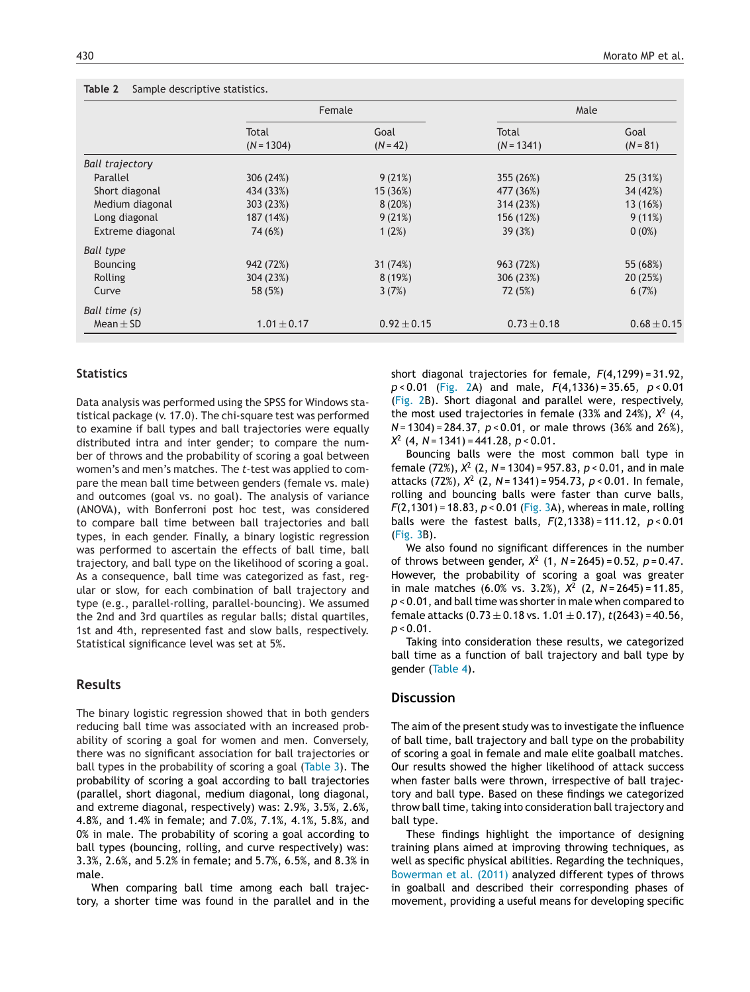# <span id="page-3-0"></span>**Table 2** Sample descriptive statistics.

|                        | Female          |                 | Male            |                 |
|------------------------|-----------------|-----------------|-----------------|-----------------|
|                        | Total           | Goal            | Total           | Goal            |
|                        | $(N = 1304)$    | $(N = 42)$      | $(N = 1341)$    | $(N = 81)$      |
| <b>Ball trajectory</b> |                 |                 |                 |                 |
| Parallel               | 306 (24%)       | 9(21%)          | 355 (26%)       | 25 (31%)        |
| Short diagonal         | 434 (33%)       | 15 (36%)        | 477 (36%)       | 34 (42%)        |
| Medium diagonal        | 303 (23%)       | 8(20%)          | 314 (23%)       | 13 (16%)        |
| Long diagonal          | 187 (14%)       | 9(21%)          | 156 (12%)       | 9(11%)          |
| Extreme diagonal       | 74 (6%)         | 1(2%)           | 39(3%)          | $0(0\%)$        |
| <b>Ball type</b>       |                 |                 |                 |                 |
| <b>Bouncing</b>        | 942 (72%)       | 31 (74%)        | 963 (72%)       | 55 (68%)        |
| Rolling                | 304 (23%)       | 8(19%)          | 306 (23%)       | 20(25%)         |
| Curve                  | 58 (5%)         | 3(7%)           | 72 (5%)         | 6(7%)           |
| Ball time (s)          |                 |                 |                 |                 |
| Mean $\pm$ SD          | $1.01 \pm 0.17$ | $0.92 \pm 0.15$ | $0.73 \pm 0.18$ | $0.68 \pm 0.15$ |

## **Statistics**

Data analysis was performed using the SPSS for Windows statistical package (v. 17.0). The chi-square test was performed to examine if ball types and ball trajectories were equally distributed intra and inter gender; to compare the number of throws and the probability of scoring a goal between women's and men's matches. The *t*-test was applied to compare the mean ball time between genders (female vs. male) and outcomes (goal vs. no goal). The analysis of variance (ANOVA), with Bonferroni post hoc test, was considered to compare ball time between ball trajectories and ball types, in each gender. Finally, a binary logistic regression was performed to ascertain the effects of ball time, ball trajectory, and ball type on the likelihood of scoring a goal. As a consequence, ball time was categorized as fast, regular or slow, for each combination of ball trajectory and type (e.g., parallel-rolling, parallel-bouncing). We assumed the 2nd and 3rd quartiles as regular balls; distal quartiles, 1st and 4th, represented fast and slow balls, respectively. Statistical significance level was set at 5%.

## **Results**

The binary logistic regression showed that in both genders reducing ball time was associated with an increased probability of scoring a goal for women and men. Conversely, there was no significant association for ball trajectories or ball types in the probability of scoring a goal [\(Table](#page-4-0) 3). The probability of scoring a goal according to ball trajectories (parallel, short diagonal, medium diagonal, long diagonal, and extreme diagonal, respectively) was: 2.9%, 3.5%, 2.6%, 4.8%, and 1.4% in female; and 7.0%, 7.1%, 4.1%, 5.8%, and 0% in male. The probability of scoring a goal according to ball types (bouncing, rolling, and curve respectively) was: 3.3%, 2.6%, and 5.2% in female; and 5.7%, 6.5%, and 8.3% in male.

When comparing ball time among each ball trajectory, a shorter time was found in the parallel and in the

short diagonal trajectories for female, *F*(4,1299) = 31.92, *p* < 0.01 ([Fig.](#page-4-0) 2A) and male, *F*(4,1336) = 35.65, *p* < 0.01 [\(Fig.](#page-4-0) 2B). Short diagonal and parallel were, respectively, the most used trajectories in female (33% and 24%), *X*<sup>2</sup> (4, *N* = 1304) = 284.37, *p* < 0.01, or male throws (36% and 26%), *X*<sup>2</sup> (4, *N* = 1341) = 441.28, *p* < 0.01.

Bouncing balls were the most common ball type in female (72%), *X*<sup>2</sup> (2, *N* = 1304) = 957.83, *p* < 0.01, and in male attacks (72%), *X*<sup>2</sup> (2, *N* = 1341) = 954.73, *p* < 0.01. In female, rolling and bouncing balls were faster than curve balls, *F*(2,1301) = 18.83, *p* < 0.01 [\(Fig.](#page-5-0) 3A), whereas in male, rolling balls were the fastest balls, *F*(2,1338) = 111.12, *p* < 0.01 [\(Fig.](#page-5-0) 3B).

We also found no significant differences in the number of throws between gender, *X*<sup>2</sup> (1, *N* = 2645) = 0.52, *p* = 0.47. However, the probability of scoring a goal was greater in male matches (6.0% vs. 3.2%), *X*<sup>2</sup> (2, *N* = 2645) = 11.85, *p* < 0.01, and ball time was shorter in male when compared to female attacks (0.73 ± 0.18 vs. 1.01 ± 0.17), *t*(2643) = 40.56, *p* < 0.01.

Taking into consideration these results, we categorized ball time as a function of ball trajectory and ball type by gender ([Table](#page-5-0) 4).

#### **Discussion**

The aim of the present study was to investigate the influence of ball time, ball trajectory and ball type on the probability of scoring a goal in female and male elite goalball matches. Our results showed the higher likelihood of attack success when faster balls were thrown, irrespective of ball trajectory and ball type. Based on these findings we categorized throw ball time, taking into consideration ball trajectory and ball type.

These findings highlight the importance of designing training plans aimed at improving throwing techniques, as well as specific physical abilities. Regarding the techniques, [Bowerman](#page-6-0) et [al.](#page-6-0) [\(2011\)](#page-6-0) analyzed different types of throws in goalball and described their corresponding phases of movement, providing a useful means for developing specific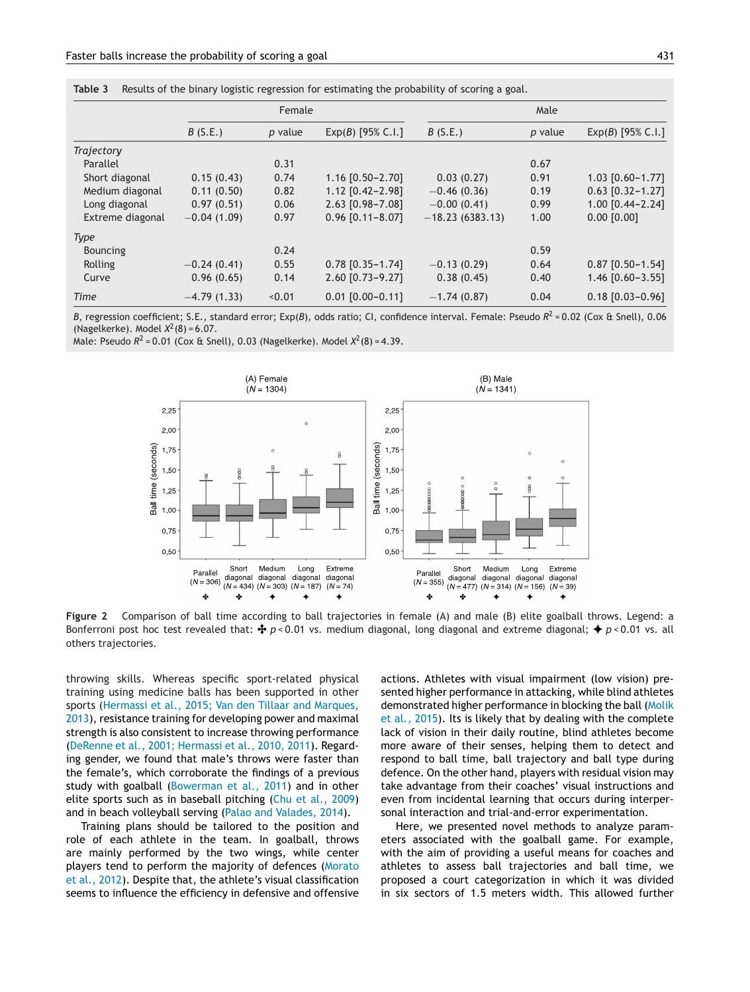<span id="page-4-0"></span>

|  | Table 3 Results of the binary logistic regression for estimating the probability of scoring a goal. |  |  |  |
|--|-----------------------------------------------------------------------------------------------------|--|--|--|
|--|-----------------------------------------------------------------------------------------------------|--|--|--|

|                  |               | Female  |                        |                   | Male    |                        |
|------------------|---------------|---------|------------------------|-------------------|---------|------------------------|
|                  | B(S.E.)       | p value | $Exp(B)$ [95% C.I.]    | B(S.E.)           | p value | $Exp(B)$ [95% C.I.]    |
| Trajectory       |               |         |                        |                   |         |                        |
| Parallel         |               | 0.31    |                        |                   | 0.67    |                        |
| Short diagonal   | 0.15(0.43)    | 0.74    | 1.16 [0.50-2.70]       | 0.03(0.27)        | 0.91    | $1.03$ [0.60-1.77]     |
| Medium diagonal  | 0.11(0.50)    | 0.82    | $1.12$ $[0.42 - 2.98]$ | $-0.46(0.36)$     | 0.19    | $0.63$ $[0.32 - 1.27]$ |
| Long diagonal    | 0.97(0.51)    | 0.06    | 2.63 [0.98-7.08]       | $-0.00(0.41)$     | 0.99    | $1.00$ $[0.44 - 2.24]$ |
| Extreme diagonal | $-0.04(1.09)$ | 0.97    | $0.96$ $[0.11 - 8.07]$ | $-18.23(6383.13)$ | 1.00    | $0.00$ $[0.00]$        |
| <b>Type</b>      |               |         |                        |                   |         |                        |
| <b>Bouncing</b>  |               | 0.24    |                        |                   | 0.59    |                        |
| Rolling          | $-0.24(0.41)$ | 0.55    | $0.78$ $[0.35 - 1.74]$ | $-0.13(0.29)$     | 0.64    | $0.87$ [0.50-1.54]     |
| Curve            | 0.96(0.65)    | 0.14    | 2.60 [0.73-9.27]       | 0.38(0.45)        | 0.40    | $1.46$ $[0.60 - 3.55]$ |
| Time             | $-4.79(1.33)$ | < 0.01  | $0.01$ $[0.00 - 0.11]$ | $-1.74(0.87)$     | 0.04    | $0.18$ $[0.03 - 0.96]$ |

*B*, regression coefficient; S.E., standard error; Exp(*B*), odds ratio; CI, confidence interval. Female: Pseudo *R*<sup>2</sup> = 0.02 (Cox & Snell), 0.06 (Nagelkerke). Model  $X^2(8) = 6.07$ .

Male: Pseudo  $R^2 = 0.01$  (Cox & Snell), 0.03 (Nagelkerke). Model  $X^2(8) = 4.39$ .



**Figure 2** Comparison of ball time according to ball trajectories in female (A) and male (B) elite goalball throws. Legend: a Bonferroni post hoc test revealed that:  $\dot{\cdot}$  p < 0.01 vs. medium diagonal, long diagonal and extreme diagonal;  $\dot{\cdot}$  p < 0.01 vs. all others trajectories.

throwing skills. Whereas specific sport-related physical training using medicine balls has been supported in other sports ([Hermassi](#page-6-0) et [al.,](#page-6-0) [2015;](#page-6-0) [Van](#page-6-0) [den](#page-6-0) [Tillaar](#page-6-0) [and](#page-6-0) [Marques,](#page-6-0) [2013\),](#page-6-0) resistance training for developing power and maximal strength is also consistent to increase throwing performance ([DeRenne](#page-6-0) et [al.,](#page-6-0) [2001;](#page-6-0) [Hermassi](#page-6-0) et [al.,](#page-6-0) [2010,](#page-6-0) [2011\).](#page-6-0) Regarding gender, we found that male's throws were faster than the female's, which corroborate the findings of a previous study with goalball [\(Bowerman](#page-6-0) et [al.,](#page-6-0) [2011\)](#page-6-0) and in other elite sports such as in baseball pitching ([Chu](#page-6-0) et [al.,](#page-6-0) [2009\)](#page-6-0) and in beach volleyball serving [\(Palao](#page-6-0) [and](#page-6-0) [Valades,](#page-6-0) [2014\).](#page-6-0)

Training plans should be tailored to the position and role of each athlete in the team. In goalball, throws are mainly performed by the two wings, while center players tend to perform the majority of defences ([Morato](#page-6-0) et [al.,](#page-6-0) [2012\).](#page-6-0) Despite that, the athlete's visual classification seems to influence the efficiency in defensive and offensive actions. Athletes with visual impairment (low vision) presented higher performance in attacking, while blind athletes demonstrated higher performance in blocking the ball ([Molik](#page-6-0) et [al.,](#page-6-0) [2015\).](#page-6-0) Its is likely that by dealing with the complete lack of vision in their daily routine, blind athletes become more aware of their senses, helping them to detect and respond to ball time, ball trajectory and ball type during defence. On the other hand, players with residual vision may take advantage from their coaches' visual instructions and even from incidental learning that occurs during interpersonal interaction and trial-and-error experimentation.

Here, we presented novel methods to analyze parameters associated with the goalball game. For example, with the aim of providing a useful means for coaches and athletes to assess ball trajectories and ball time, we proposed a court categorization in which it was divided in six sectors of 1.5 meters width. This allowed further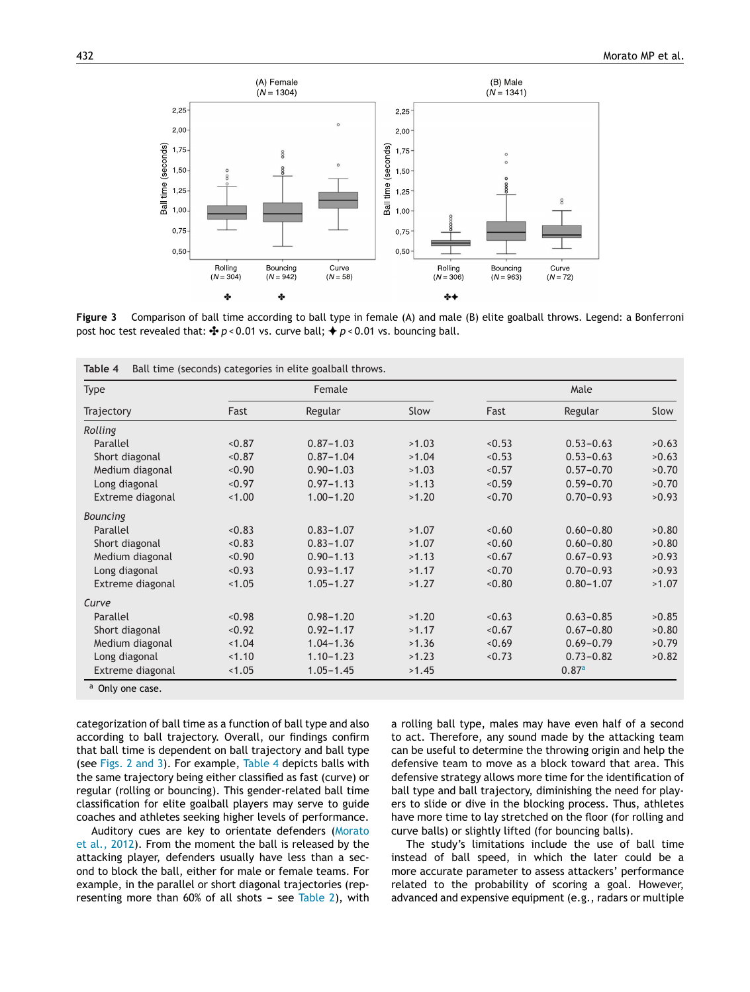<span id="page-5-0"></span>

**Figure 3** Comparison of ball time according to ball type in female (A) and male (B) elite goalball throws. Legend: a Bonferroni post hoc test revealed that:  $\oint p < 0.01$  vs. curve ball;  $\oint p < 0.01$  vs. bouncing ball.

| <b>Type</b>      |        | Female        | Male  |        |               |       |
|------------------|--------|---------------|-------|--------|---------------|-------|
| Trajectory       | Fast   | Regular       | Slow  | Fast   | Regular       | Slow  |
| Rolling          |        |               |       |        |               |       |
| Parallel         | < 0.87 | $0.87 - 1.03$ | >1.03 | < 0.53 | $0.53 - 0.63$ | >0.63 |
| Short diagonal   | < 0.87 | $0.87 - 1.04$ | >1.04 | < 0.53 | $0.53 - 0.63$ | >0.63 |
| Medium diagonal  | < 0.90 | $0.90 - 1.03$ | >1.03 | < 0.57 | $0.57 - 0.70$ | >0.70 |
| Long diagonal    | < 0.97 | $0.97 - 1.13$ | >1.13 | < 0.59 | $0.59 - 0.70$ | >0.70 |
| Extreme diagonal | 1.00   | $1.00 - 1.20$ | >1.20 | < 0.70 | $0.70 - 0.93$ | >0.93 |
| Bouncing         |        |               |       |        |               |       |
| Parallel         | < 0.83 | $0.83 - 1.07$ | >1.07 | < 0.60 | $0.60 - 0.80$ | >0.80 |
| Short diagonal   | < 0.83 | $0.83 - 1.07$ | >1.07 | 0.60   | $0.60 - 0.80$ | >0.80 |
| Medium diagonal  | < 0.90 | $0.90 - 1.13$ | >1.13 | < 0.67 | $0.67 - 0.93$ | >0.93 |
| Long diagonal    | < 0.93 | $0.93 - 1.17$ | >1.17 | < 0.70 | $0.70 - 0.93$ | >0.93 |
| Extreme diagonal | < 1.05 | $1.05 - 1.27$ | >1.27 | 0.80   | $0.80 - 1.07$ | >1.07 |
| Curve            |        |               |       |        |               |       |
| Parallel         | < 0.98 | $0.98 - 1.20$ | >1.20 | < 0.63 | $0.63 - 0.85$ | >0.85 |
| Short diagonal   | < 0.92 | $0.92 - 1.17$ | >1.17 | < 0.67 | $0.67 - 0.80$ | >0.80 |
| Medium diagonal  | 1.04   | $1.04 - 1.36$ | >1.36 | < 0.69 | $0.69 - 0.79$ | >0.79 |
| Long diagonal    | 1.10   | $1.10 - 1.23$ | >1.23 | < 0.73 | $0.73 - 0.82$ | >0.82 |
| Extreme diagonal | < 1.05 | $1.05 - 1.45$ | >1.45 |        | 0.87a         |       |

categorization of ball time as a function of ball type and also according to ball trajectory. Overall, our findings confirm that ball time is dependent on ball trajectory and ball type (see [Figs.](#page-4-0) 2 and 3). For example, Table 4 depicts balls with the same trajectory being either classified as fast (curve) or regular (rolling or bouncing). This gender-related ball time classification for elite goalball players may serve to guide coaches and athletes seeking higher levels of performance.

Auditory cues are key to orientate defenders [\(Morato](#page-6-0) et [al.,](#page-6-0) [2012\).](#page-6-0) From the moment the ball is released by the attacking player, defenders usually have less than a second to block the ball, either for male or female teams. For example, in the parallel or short diagonal trajectories (rep-resenting more than 60% of all shots - see [Table](#page-3-0) 2), with a rolling ball type, males may have even half of a second to act. Therefore, any sound made by the attacking team can be useful to determine the throwing origin and help the defensive team to move as a block toward that area. This defensive strategy allows more time for the identification of ball type and ball trajectory, diminishing the need for players to slide or dive in the blocking process. Thus, athletes have more time to lay stretched on the floor (for rolling and curve balls) or slightly lifted (for bouncing balls).

The study's limitations include the use of ball time instead of ball speed, in which the later could be a more accurate parameter to assess attackers' performance related to the probability of scoring a goal. However, advanced and expensive equipment (e.g., radars or multiple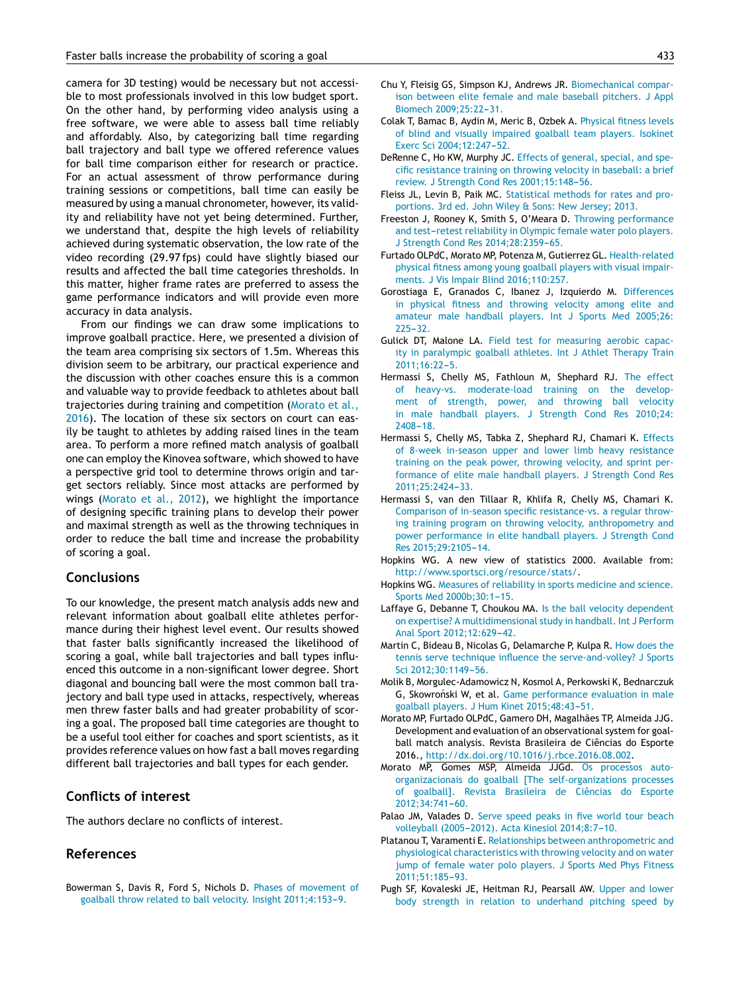<span id="page-6-0"></span>camera for 3D testing) would be necessary but not accessible to most professionals involved in this low budget sport. On the other hand, by performing video analysis using a free software, we were able to assess ball time reliably and affordably. Also, by categorizing ball time regarding ball trajectory and ball type we offered reference values for ball time comparison either for research or practice. For an actual assessment of throw performance during training sessions or competitions, ball time can easily be measured by using a manual chronometer, however, its validity and reliability have not yet being determined. Further, we understand that, despite the high levels of reliability achieved during systematic observation, the low rate of the video recording (29.97 fps) could have slightly biased our results and affected the ball time categories thresholds. In this matter, higher frame rates are preferred to assess the game performance indicators and will provide even more accuracy in data analysis.

From our findings we can draw some implications to improve goalball practice. Here, we presented a division of the team area comprising six sectors of 1.5m. Whereas this division seem to be arbitrary, our practical experience and the discussion with other coaches ensure this is a common and valuable way to provide feedback to athletes about ball trajectories during training and competition (Morato et al., 2016). The location of these six sectors on court can easily be taught to athletes by adding raised lines in the team area. To perform a more refined match analysis of goalball one can employ the Kinovea software, which showed to have a perspective grid tool to determine throws origin and target sectors reliably. Since most attacks are performed by wings (Morato et al., 2012), we highlight the importance of designing specific training plans to develop their power and maximal strength as well as the throwing techniques in order to reduce the ball time and increase the probability of scoring a goal.

## **Conclusions**

To our knowledge, the present match analysis adds new and relevant information about goalball elite athletes performance during their highest level event. Our results showed that faster balls significantly increased the likelihood of scoring a goal, while ball trajectories and ball types influenced this outcome in a non-significant lower degree. Short diagonal and bouncing ball were the most common ball trajectory and ball type used in attacks, respectively, whereas men threw faster balls and had greater probability of scoring a goal. The proposed ball time categories are thought to be a useful tool either for coaches and sport scientists, as it provides reference values on how fast a ball moves regarding different ball trajectories and ball types for each gender.

# **Conflicts of interest**

The authors declare no conflicts of interest.

### **References**

Bowerman S, Davis R, Ford S, Nichols D. [Phases](http://refhub.elsevier.com/S0101-3289(17)30008-2/sbref0005) [of](http://refhub.elsevier.com/S0101-3289(17)30008-2/sbref0005) [movement](http://refhub.elsevier.com/S0101-3289(17)30008-2/sbref0005) [of](http://refhub.elsevier.com/S0101-3289(17)30008-2/sbref0005) [goalball](http://refhub.elsevier.com/S0101-3289(17)30008-2/sbref0005) [throw](http://refhub.elsevier.com/S0101-3289(17)30008-2/sbref0005) [related](http://refhub.elsevier.com/S0101-3289(17)30008-2/sbref0005) [to](http://refhub.elsevier.com/S0101-3289(17)30008-2/sbref0005) [ball](http://refhub.elsevier.com/S0101-3289(17)30008-2/sbref0005) [velocity.](http://refhub.elsevier.com/S0101-3289(17)30008-2/sbref0005) [Insight](http://refhub.elsevier.com/S0101-3289(17)30008-2/sbref0005) 2011;4:153-9.

- Chu Y, Fleisig GS, Simpson KJ, Andrews JR. [Biomechanical](http://refhub.elsevier.com/S0101-3289(17)30008-2/sbref0010) [compar](http://refhub.elsevier.com/S0101-3289(17)30008-2/sbref0010)[ison](http://refhub.elsevier.com/S0101-3289(17)30008-2/sbref0010) [between](http://refhub.elsevier.com/S0101-3289(17)30008-2/sbref0010) [elite](http://refhub.elsevier.com/S0101-3289(17)30008-2/sbref0010) [female](http://refhub.elsevier.com/S0101-3289(17)30008-2/sbref0010) [and](http://refhub.elsevier.com/S0101-3289(17)30008-2/sbref0010) [male](http://refhub.elsevier.com/S0101-3289(17)30008-2/sbref0010) [baseball](http://refhub.elsevier.com/S0101-3289(17)30008-2/sbref0010) [pitchers.](http://refhub.elsevier.com/S0101-3289(17)30008-2/sbref0010) [J](http://refhub.elsevier.com/S0101-3289(17)30008-2/sbref0010) [Appl](http://refhub.elsevier.com/S0101-3289(17)30008-2/sbref0010) [Biomech](http://refhub.elsevier.com/S0101-3289(17)30008-2/sbref0010) 2009:25:22-31.
- Colak T, Bamac B, Aydin M, Meric B, Ozbek A. [Physical](http://refhub.elsevier.com/S0101-3289(17)30008-2/sbref0015) [fitness](http://refhub.elsevier.com/S0101-3289(17)30008-2/sbref0015) [levels](http://refhub.elsevier.com/S0101-3289(17)30008-2/sbref0015) [of](http://refhub.elsevier.com/S0101-3289(17)30008-2/sbref0015) [blind](http://refhub.elsevier.com/S0101-3289(17)30008-2/sbref0015) [and](http://refhub.elsevier.com/S0101-3289(17)30008-2/sbref0015) [visually](http://refhub.elsevier.com/S0101-3289(17)30008-2/sbref0015) [impaired](http://refhub.elsevier.com/S0101-3289(17)30008-2/sbref0015) [goalball](http://refhub.elsevier.com/S0101-3289(17)30008-2/sbref0015) [team](http://refhub.elsevier.com/S0101-3289(17)30008-2/sbref0015) [players.](http://refhub.elsevier.com/S0101-3289(17)30008-2/sbref0015) [Isokinet](http://refhub.elsevier.com/S0101-3289(17)30008-2/sbref0015) [Exerc](http://refhub.elsevier.com/S0101-3289(17)30008-2/sbref0015) [Sci](http://refhub.elsevier.com/S0101-3289(17)30008-2/sbref0015) 2004;12:247-52.
- DeRenne C, Ho KW, Murphy JC. [Effects](http://refhub.elsevier.com/S0101-3289(17)30008-2/sbref0020) [of](http://refhub.elsevier.com/S0101-3289(17)30008-2/sbref0020) [general,](http://refhub.elsevier.com/S0101-3289(17)30008-2/sbref0020) [special,](http://refhub.elsevier.com/S0101-3289(17)30008-2/sbref0020) [and](http://refhub.elsevier.com/S0101-3289(17)30008-2/sbref0020) [spe](http://refhub.elsevier.com/S0101-3289(17)30008-2/sbref0020)[cific](http://refhub.elsevier.com/S0101-3289(17)30008-2/sbref0020) [resistance](http://refhub.elsevier.com/S0101-3289(17)30008-2/sbref0020) [training](http://refhub.elsevier.com/S0101-3289(17)30008-2/sbref0020) [on](http://refhub.elsevier.com/S0101-3289(17)30008-2/sbref0020) [throwing](http://refhub.elsevier.com/S0101-3289(17)30008-2/sbref0020) [velocity](http://refhub.elsevier.com/S0101-3289(17)30008-2/sbref0020) [in](http://refhub.elsevier.com/S0101-3289(17)30008-2/sbref0020) [baseball:](http://refhub.elsevier.com/S0101-3289(17)30008-2/sbref0020) [a](http://refhub.elsevier.com/S0101-3289(17)30008-2/sbref0020) [brief](http://refhub.elsevier.com/S0101-3289(17)30008-2/sbref0020) [review.](http://refhub.elsevier.com/S0101-3289(17)30008-2/sbref0020) [J](http://refhub.elsevier.com/S0101-3289(17)30008-2/sbref0020) [Strength](http://refhub.elsevier.com/S0101-3289(17)30008-2/sbref0020) [Cond](http://refhub.elsevier.com/S0101-3289(17)30008-2/sbref0020) [Res](http://refhub.elsevier.com/S0101-3289(17)30008-2/sbref0020) 2001;15:148-56.
- Fleiss JL, Levin B, Paik MC. [Statistical](http://refhub.elsevier.com/S0101-3289(17)30008-2/sbref0025) [methods](http://refhub.elsevier.com/S0101-3289(17)30008-2/sbref0025) [for](http://refhub.elsevier.com/S0101-3289(17)30008-2/sbref0025) [rates](http://refhub.elsevier.com/S0101-3289(17)30008-2/sbref0025) [and](http://refhub.elsevier.com/S0101-3289(17)30008-2/sbref0025) [pro](http://refhub.elsevier.com/S0101-3289(17)30008-2/sbref0025)[portions.](http://refhub.elsevier.com/S0101-3289(17)30008-2/sbref0025) [3rd](http://refhub.elsevier.com/S0101-3289(17)30008-2/sbref0025) [ed.](http://refhub.elsevier.com/S0101-3289(17)30008-2/sbref0025) [John](http://refhub.elsevier.com/S0101-3289(17)30008-2/sbref0025) [Wiley](http://refhub.elsevier.com/S0101-3289(17)30008-2/sbref0025) [&](http://refhub.elsevier.com/S0101-3289(17)30008-2/sbref0025) [Sons:](http://refhub.elsevier.com/S0101-3289(17)30008-2/sbref0025) [New](http://refhub.elsevier.com/S0101-3289(17)30008-2/sbref0025) [Jersey;](http://refhub.elsevier.com/S0101-3289(17)30008-2/sbref0025) [2013.](http://refhub.elsevier.com/S0101-3289(17)30008-2/sbref0025)
- Freeston J, Rooney K, Smith S, O'Meara D. [Throwing](http://refhub.elsevier.com/S0101-3289(17)30008-2/sbref0030) [performance](http://refhub.elsevier.com/S0101-3289(17)30008-2/sbref0030) [and](http://refhub.elsevier.com/S0101-3289(17)30008-2/sbref0030) [test](http://refhub.elsevier.com/S0101-3289(17)30008-2/sbref0030)-[retest](http://refhub.elsevier.com/S0101-3289(17)30008-2/sbref0030) [reliability](http://refhub.elsevier.com/S0101-3289(17)30008-2/sbref0030) [in](http://refhub.elsevier.com/S0101-3289(17)30008-2/sbref0030) [Olympic](http://refhub.elsevier.com/S0101-3289(17)30008-2/sbref0030) [female](http://refhub.elsevier.com/S0101-3289(17)30008-2/sbref0030) [water](http://refhub.elsevier.com/S0101-3289(17)30008-2/sbref0030) [polo](http://refhub.elsevier.com/S0101-3289(17)30008-2/sbref0030) [players.](http://refhub.elsevier.com/S0101-3289(17)30008-2/sbref0030) [J](http://refhub.elsevier.com/S0101-3289(17)30008-2/sbref0030) [Strength](http://refhub.elsevier.com/S0101-3289(17)30008-2/sbref0030) [Cond](http://refhub.elsevier.com/S0101-3289(17)30008-2/sbref0030) [Res](http://refhub.elsevier.com/S0101-3289(17)30008-2/sbref0030) [2014;28:2359](http://refhub.elsevier.com/S0101-3289(17)30008-2/sbref0030)-[65.](http://refhub.elsevier.com/S0101-3289(17)30008-2/sbref0030)
- Furtado OLPdC, Morato MP, Potenza M, Gutierrez GL. [Health-related](http://refhub.elsevier.com/S0101-3289(17)30008-2/sbref0035) [physical](http://refhub.elsevier.com/S0101-3289(17)30008-2/sbref0035) [fitness](http://refhub.elsevier.com/S0101-3289(17)30008-2/sbref0035) [among](http://refhub.elsevier.com/S0101-3289(17)30008-2/sbref0035) [young](http://refhub.elsevier.com/S0101-3289(17)30008-2/sbref0035) [goalball](http://refhub.elsevier.com/S0101-3289(17)30008-2/sbref0035) [players](http://refhub.elsevier.com/S0101-3289(17)30008-2/sbref0035) [with](http://refhub.elsevier.com/S0101-3289(17)30008-2/sbref0035) [visual](http://refhub.elsevier.com/S0101-3289(17)30008-2/sbref0035) [impair](http://refhub.elsevier.com/S0101-3289(17)30008-2/sbref0035)[ments.](http://refhub.elsevier.com/S0101-3289(17)30008-2/sbref0035) [J](http://refhub.elsevier.com/S0101-3289(17)30008-2/sbref0035) [Vis](http://refhub.elsevier.com/S0101-3289(17)30008-2/sbref0035) [Impair](http://refhub.elsevier.com/S0101-3289(17)30008-2/sbref0035) [Blind](http://refhub.elsevier.com/S0101-3289(17)30008-2/sbref0035) [2016;110:257.](http://refhub.elsevier.com/S0101-3289(17)30008-2/sbref0035)
- Gorostiaga E, Granados C, Ibanez J, Izquierdo M. [Differences](http://refhub.elsevier.com/S0101-3289(17)30008-2/sbref0040) [in](http://refhub.elsevier.com/S0101-3289(17)30008-2/sbref0040) [physical](http://refhub.elsevier.com/S0101-3289(17)30008-2/sbref0040) [fitness](http://refhub.elsevier.com/S0101-3289(17)30008-2/sbref0040) [and](http://refhub.elsevier.com/S0101-3289(17)30008-2/sbref0040) [throwing](http://refhub.elsevier.com/S0101-3289(17)30008-2/sbref0040) [velocity](http://refhub.elsevier.com/S0101-3289(17)30008-2/sbref0040) [among](http://refhub.elsevier.com/S0101-3289(17)30008-2/sbref0040) [elite](http://refhub.elsevier.com/S0101-3289(17)30008-2/sbref0040) [and](http://refhub.elsevier.com/S0101-3289(17)30008-2/sbref0040) [amateur](http://refhub.elsevier.com/S0101-3289(17)30008-2/sbref0040) [male](http://refhub.elsevier.com/S0101-3289(17)30008-2/sbref0040) [handball](http://refhub.elsevier.com/S0101-3289(17)30008-2/sbref0040) [players.](http://refhub.elsevier.com/S0101-3289(17)30008-2/sbref0040) [Int](http://refhub.elsevier.com/S0101-3289(17)30008-2/sbref0040) [J](http://refhub.elsevier.com/S0101-3289(17)30008-2/sbref0040) [Sports](http://refhub.elsevier.com/S0101-3289(17)30008-2/sbref0040) [Med](http://refhub.elsevier.com/S0101-3289(17)30008-2/sbref0040) [2005;26:](http://refhub.elsevier.com/S0101-3289(17)30008-2/sbref0040)  $225 - 32$ .
- Gulick DT, Malone LA. [Field](http://refhub.elsevier.com/S0101-3289(17)30008-2/sbref0045) [test](http://refhub.elsevier.com/S0101-3289(17)30008-2/sbref0045) [for](http://refhub.elsevier.com/S0101-3289(17)30008-2/sbref0045) [measuring](http://refhub.elsevier.com/S0101-3289(17)30008-2/sbref0045) [aerobic](http://refhub.elsevier.com/S0101-3289(17)30008-2/sbref0045) [capac](http://refhub.elsevier.com/S0101-3289(17)30008-2/sbref0045)[ity](http://refhub.elsevier.com/S0101-3289(17)30008-2/sbref0045) [in](http://refhub.elsevier.com/S0101-3289(17)30008-2/sbref0045) [paralympic](http://refhub.elsevier.com/S0101-3289(17)30008-2/sbref0045) [goalball](http://refhub.elsevier.com/S0101-3289(17)30008-2/sbref0045) [athletes.](http://refhub.elsevier.com/S0101-3289(17)30008-2/sbref0045) [Int](http://refhub.elsevier.com/S0101-3289(17)30008-2/sbref0045) [J](http://refhub.elsevier.com/S0101-3289(17)30008-2/sbref0045) [Athlet](http://refhub.elsevier.com/S0101-3289(17)30008-2/sbref0045) [Therapy](http://refhub.elsevier.com/S0101-3289(17)30008-2/sbref0045) [Train](http://refhub.elsevier.com/S0101-3289(17)30008-2/sbref0045) 2011;16:22-5.
- Hermassi S, Chelly MS, Fathloun M, Shephard RJ. [The](http://refhub.elsevier.com/S0101-3289(17)30008-2/sbref0050) [effect](http://refhub.elsevier.com/S0101-3289(17)30008-2/sbref0050) [of](http://refhub.elsevier.com/S0101-3289(17)30008-2/sbref0050) [heavy-vs.](http://refhub.elsevier.com/S0101-3289(17)30008-2/sbref0050) [moderate-load](http://refhub.elsevier.com/S0101-3289(17)30008-2/sbref0050) [training](http://refhub.elsevier.com/S0101-3289(17)30008-2/sbref0050) [on](http://refhub.elsevier.com/S0101-3289(17)30008-2/sbref0050) [the](http://refhub.elsevier.com/S0101-3289(17)30008-2/sbref0050) [develop](http://refhub.elsevier.com/S0101-3289(17)30008-2/sbref0050)[ment](http://refhub.elsevier.com/S0101-3289(17)30008-2/sbref0050) [of](http://refhub.elsevier.com/S0101-3289(17)30008-2/sbref0050) [strength,](http://refhub.elsevier.com/S0101-3289(17)30008-2/sbref0050) [power,](http://refhub.elsevier.com/S0101-3289(17)30008-2/sbref0050) [and](http://refhub.elsevier.com/S0101-3289(17)30008-2/sbref0050) [throwing](http://refhub.elsevier.com/S0101-3289(17)30008-2/sbref0050) [ball](http://refhub.elsevier.com/S0101-3289(17)30008-2/sbref0050) [velocity](http://refhub.elsevier.com/S0101-3289(17)30008-2/sbref0050) [in](http://refhub.elsevier.com/S0101-3289(17)30008-2/sbref0050) [male](http://refhub.elsevier.com/S0101-3289(17)30008-2/sbref0050) [handball](http://refhub.elsevier.com/S0101-3289(17)30008-2/sbref0050) [players.](http://refhub.elsevier.com/S0101-3289(17)30008-2/sbref0050) [J](http://refhub.elsevier.com/S0101-3289(17)30008-2/sbref0050) [Strength](http://refhub.elsevier.com/S0101-3289(17)30008-2/sbref0050) [Cond](http://refhub.elsevier.com/S0101-3289(17)30008-2/sbref0050) [Res](http://refhub.elsevier.com/S0101-3289(17)30008-2/sbref0050) [2010;24:](http://refhub.elsevier.com/S0101-3289(17)30008-2/sbref0050)  $2408 - 18$
- Hermassi S, Chelly MS, Tabka Z, Shephard RJ, Chamari K. [Effects](http://refhub.elsevier.com/S0101-3289(17)30008-2/sbref0055) [of](http://refhub.elsevier.com/S0101-3289(17)30008-2/sbref0055) [8-week](http://refhub.elsevier.com/S0101-3289(17)30008-2/sbref0055) [in-season](http://refhub.elsevier.com/S0101-3289(17)30008-2/sbref0055) [upper](http://refhub.elsevier.com/S0101-3289(17)30008-2/sbref0055) [and](http://refhub.elsevier.com/S0101-3289(17)30008-2/sbref0055) [lower](http://refhub.elsevier.com/S0101-3289(17)30008-2/sbref0055) [limb](http://refhub.elsevier.com/S0101-3289(17)30008-2/sbref0055) [heavy](http://refhub.elsevier.com/S0101-3289(17)30008-2/sbref0055) [resistance](http://refhub.elsevier.com/S0101-3289(17)30008-2/sbref0055) [training](http://refhub.elsevier.com/S0101-3289(17)30008-2/sbref0055) [on](http://refhub.elsevier.com/S0101-3289(17)30008-2/sbref0055) [the](http://refhub.elsevier.com/S0101-3289(17)30008-2/sbref0055) [peak](http://refhub.elsevier.com/S0101-3289(17)30008-2/sbref0055) [power,](http://refhub.elsevier.com/S0101-3289(17)30008-2/sbref0055) [throwing](http://refhub.elsevier.com/S0101-3289(17)30008-2/sbref0055) [velocity,](http://refhub.elsevier.com/S0101-3289(17)30008-2/sbref0055) [and](http://refhub.elsevier.com/S0101-3289(17)30008-2/sbref0055) [sprint](http://refhub.elsevier.com/S0101-3289(17)30008-2/sbref0055) [per](http://refhub.elsevier.com/S0101-3289(17)30008-2/sbref0055)[formance](http://refhub.elsevier.com/S0101-3289(17)30008-2/sbref0055) [of](http://refhub.elsevier.com/S0101-3289(17)30008-2/sbref0055) [elite](http://refhub.elsevier.com/S0101-3289(17)30008-2/sbref0055) [male](http://refhub.elsevier.com/S0101-3289(17)30008-2/sbref0055) [handball](http://refhub.elsevier.com/S0101-3289(17)30008-2/sbref0055) [players.](http://refhub.elsevier.com/S0101-3289(17)30008-2/sbref0055) [J](http://refhub.elsevier.com/S0101-3289(17)30008-2/sbref0055) [Strength](http://refhub.elsevier.com/S0101-3289(17)30008-2/sbref0055) [Cond](http://refhub.elsevier.com/S0101-3289(17)30008-2/sbref0055) [Res](http://refhub.elsevier.com/S0101-3289(17)30008-2/sbref0055) 2011;25:2424-33.
- Hermassi S, van den Tillaar R, Khlifa R, Chelly MS, Chamari K. [Comparison](http://refhub.elsevier.com/S0101-3289(17)30008-2/sbref0060) [of](http://refhub.elsevier.com/S0101-3289(17)30008-2/sbref0060) [in-season](http://refhub.elsevier.com/S0101-3289(17)30008-2/sbref0060) [specific](http://refhub.elsevier.com/S0101-3289(17)30008-2/sbref0060) [resistance-vs.](http://refhub.elsevier.com/S0101-3289(17)30008-2/sbref0060) [a](http://refhub.elsevier.com/S0101-3289(17)30008-2/sbref0060) [regular](http://refhub.elsevier.com/S0101-3289(17)30008-2/sbref0060) [throw](http://refhub.elsevier.com/S0101-3289(17)30008-2/sbref0060)[ing](http://refhub.elsevier.com/S0101-3289(17)30008-2/sbref0060) [training](http://refhub.elsevier.com/S0101-3289(17)30008-2/sbref0060) [program](http://refhub.elsevier.com/S0101-3289(17)30008-2/sbref0060) [on](http://refhub.elsevier.com/S0101-3289(17)30008-2/sbref0060) [throwing](http://refhub.elsevier.com/S0101-3289(17)30008-2/sbref0060) [velocity,](http://refhub.elsevier.com/S0101-3289(17)30008-2/sbref0060) [anthropometry](http://refhub.elsevier.com/S0101-3289(17)30008-2/sbref0060) [and](http://refhub.elsevier.com/S0101-3289(17)30008-2/sbref0060) [power](http://refhub.elsevier.com/S0101-3289(17)30008-2/sbref0060) [performance](http://refhub.elsevier.com/S0101-3289(17)30008-2/sbref0060) [in](http://refhub.elsevier.com/S0101-3289(17)30008-2/sbref0060) [elite](http://refhub.elsevier.com/S0101-3289(17)30008-2/sbref0060) [handball](http://refhub.elsevier.com/S0101-3289(17)30008-2/sbref0060) [players.](http://refhub.elsevier.com/S0101-3289(17)30008-2/sbref0060) [J](http://refhub.elsevier.com/S0101-3289(17)30008-2/sbref0060) [Strength](http://refhub.elsevier.com/S0101-3289(17)30008-2/sbref0060) [Cond](http://refhub.elsevier.com/S0101-3289(17)30008-2/sbref0060) [Res](http://refhub.elsevier.com/S0101-3289(17)30008-2/sbref0060) 2015;29:2105-14.
- Hopkins WG. A new view of statistics 2000. Available from: [http://www.sportsci.org/resource/stats/.](http://www.sportsci.org/resource/stats/)
- Hopkins WG. [Measures](http://refhub.elsevier.com/S0101-3289(17)30008-2/sbref0070) [of](http://refhub.elsevier.com/S0101-3289(17)30008-2/sbref0070) [reliability](http://refhub.elsevier.com/S0101-3289(17)30008-2/sbref0070) [in](http://refhub.elsevier.com/S0101-3289(17)30008-2/sbref0070) [sports](http://refhub.elsevier.com/S0101-3289(17)30008-2/sbref0070) [medicine](http://refhub.elsevier.com/S0101-3289(17)30008-2/sbref0070) [and](http://refhub.elsevier.com/S0101-3289(17)30008-2/sbref0070) [science.](http://refhub.elsevier.com/S0101-3289(17)30008-2/sbref0070) [Sports](http://refhub.elsevier.com/S0101-3289(17)30008-2/sbref0070) [Med](http://refhub.elsevier.com/S0101-3289(17)30008-2/sbref0070) [2000b;30:1](http://refhub.elsevier.com/S0101-3289(17)30008-2/sbref0070)-[15.](http://refhub.elsevier.com/S0101-3289(17)30008-2/sbref0070)
- Laffaye G, Debanne T, Choukou MA. [Is](http://refhub.elsevier.com/S0101-3289(17)30008-2/sbref0075) [the](http://refhub.elsevier.com/S0101-3289(17)30008-2/sbref0075) [ball](http://refhub.elsevier.com/S0101-3289(17)30008-2/sbref0075) [velocity](http://refhub.elsevier.com/S0101-3289(17)30008-2/sbref0075) [dependent](http://refhub.elsevier.com/S0101-3289(17)30008-2/sbref0075) [on](http://refhub.elsevier.com/S0101-3289(17)30008-2/sbref0075) [expertise?](http://refhub.elsevier.com/S0101-3289(17)30008-2/sbref0075) [A](http://refhub.elsevier.com/S0101-3289(17)30008-2/sbref0075) [multidimensional](http://refhub.elsevier.com/S0101-3289(17)30008-2/sbref0075) [study](http://refhub.elsevier.com/S0101-3289(17)30008-2/sbref0075) [in](http://refhub.elsevier.com/S0101-3289(17)30008-2/sbref0075) [handball.](http://refhub.elsevier.com/S0101-3289(17)30008-2/sbref0075) [Int](http://refhub.elsevier.com/S0101-3289(17)30008-2/sbref0075) [J](http://refhub.elsevier.com/S0101-3289(17)30008-2/sbref0075) [Perform](http://refhub.elsevier.com/S0101-3289(17)30008-2/sbref0075) [Anal](http://refhub.elsevier.com/S0101-3289(17)30008-2/sbref0075) [Sport](http://refhub.elsevier.com/S0101-3289(17)30008-2/sbref0075) [2012;12:629](http://refhub.elsevier.com/S0101-3289(17)30008-2/sbref0075)-[42.](http://refhub.elsevier.com/S0101-3289(17)30008-2/sbref0075)
- Martin C, Bideau B, Nicolas G, Delamarche P, Kulpa R. [How](http://refhub.elsevier.com/S0101-3289(17)30008-2/sbref0080) [does](http://refhub.elsevier.com/S0101-3289(17)30008-2/sbref0080) [the](http://refhub.elsevier.com/S0101-3289(17)30008-2/sbref0080) [tennis](http://refhub.elsevier.com/S0101-3289(17)30008-2/sbref0080) [serve](http://refhub.elsevier.com/S0101-3289(17)30008-2/sbref0080) [technique](http://refhub.elsevier.com/S0101-3289(17)30008-2/sbref0080) [influence](http://refhub.elsevier.com/S0101-3289(17)30008-2/sbref0080) [the](http://refhub.elsevier.com/S0101-3289(17)30008-2/sbref0080) [serve-and-volley?](http://refhub.elsevier.com/S0101-3289(17)30008-2/sbref0080) [J](http://refhub.elsevier.com/S0101-3289(17)30008-2/sbref0080) [Sports](http://refhub.elsevier.com/S0101-3289(17)30008-2/sbref0080) [Sci](http://refhub.elsevier.com/S0101-3289(17)30008-2/sbref0080) 2012;30:1149-56.
- Molik B, Morgulec-Adamowicz N, Kosmol A, Perkowski K, Bednarczuk G, Skowroński W, et al. [Game](http://refhub.elsevier.com/S0101-3289(17)30008-2/sbref0085) [performance](http://refhub.elsevier.com/S0101-3289(17)30008-2/sbref0085) [evaluation](http://refhub.elsevier.com/S0101-3289(17)30008-2/sbref0085) [in](http://refhub.elsevier.com/S0101-3289(17)30008-2/sbref0085) [male](http://refhub.elsevier.com/S0101-3289(17)30008-2/sbref0085) [goalball](http://refhub.elsevier.com/S0101-3289(17)30008-2/sbref0085) [players.](http://refhub.elsevier.com/S0101-3289(17)30008-2/sbref0085) [J](http://refhub.elsevier.com/S0101-3289(17)30008-2/sbref0085) [Hum](http://refhub.elsevier.com/S0101-3289(17)30008-2/sbref0085) [Kinet](http://refhub.elsevier.com/S0101-3289(17)30008-2/sbref0085) 2015;48:43-51.
- Morato MP, Furtado OLPdC, Gamero DH, Magalhães TP, Almeida JJG. Development and evaluation of an observational system for goalball match analysis. Revista Brasileira de Ciências do Esporte 2016., [http://dx.doi.org/10.1016/j.rbce.2016.08.002.](dx.doi.org/10.1016/j.rbce.2016.08.002)
- Morato MP, Gomes MSP, Almeida JJGd. [Os](http://refhub.elsevier.com/S0101-3289(17)30008-2/sbref0095) [processos](http://refhub.elsevier.com/S0101-3289(17)30008-2/sbref0095) [auto](http://refhub.elsevier.com/S0101-3289(17)30008-2/sbref0095)[organizacionais](http://refhub.elsevier.com/S0101-3289(17)30008-2/sbref0095) [do](http://refhub.elsevier.com/S0101-3289(17)30008-2/sbref0095) [goalball](http://refhub.elsevier.com/S0101-3289(17)30008-2/sbref0095) [\[The](http://refhub.elsevier.com/S0101-3289(17)30008-2/sbref0095) [self-organizations](http://refhub.elsevier.com/S0101-3289(17)30008-2/sbref0095) [processes](http://refhub.elsevier.com/S0101-3289(17)30008-2/sbref0095) [of](http://refhub.elsevier.com/S0101-3289(17)30008-2/sbref0095) [goalball\].](http://refhub.elsevier.com/S0101-3289(17)30008-2/sbref0095) [Revista](http://refhub.elsevier.com/S0101-3289(17)30008-2/sbref0095) [Brasileira](http://refhub.elsevier.com/S0101-3289(17)30008-2/sbref0095) [de](http://refhub.elsevier.com/S0101-3289(17)30008-2/sbref0095) [Ciências](http://refhub.elsevier.com/S0101-3289(17)30008-2/sbref0095) [do](http://refhub.elsevier.com/S0101-3289(17)30008-2/sbref0095) [Esporte](http://refhub.elsevier.com/S0101-3289(17)30008-2/sbref0095) 2012:34:741-60.
- Palao JM, Valades D. [Serve](http://refhub.elsevier.com/S0101-3289(17)30008-2/sbref0100) [speed](http://refhub.elsevier.com/S0101-3289(17)30008-2/sbref0100) [peaks](http://refhub.elsevier.com/S0101-3289(17)30008-2/sbref0100) [in](http://refhub.elsevier.com/S0101-3289(17)30008-2/sbref0100) [five](http://refhub.elsevier.com/S0101-3289(17)30008-2/sbref0100) [world](http://refhub.elsevier.com/S0101-3289(17)30008-2/sbref0100) [tour](http://refhub.elsevier.com/S0101-3289(17)30008-2/sbref0100) [beach](http://refhub.elsevier.com/S0101-3289(17)30008-2/sbref0100) [volleyball](http://refhub.elsevier.com/S0101-3289(17)30008-2/sbref0100) (2005-2012). [Acta](http://refhub.elsevier.com/S0101-3289(17)30008-2/sbref0100) [Kinesiol](http://refhub.elsevier.com/S0101-3289(17)30008-2/sbref0100) 2014;8:7-10.
- Platanou T, Varamenti E. [Relationships](http://refhub.elsevier.com/S0101-3289(17)30008-2/sbref0105) [between](http://refhub.elsevier.com/S0101-3289(17)30008-2/sbref0105) [anthropometric](http://refhub.elsevier.com/S0101-3289(17)30008-2/sbref0105) [and](http://refhub.elsevier.com/S0101-3289(17)30008-2/sbref0105) [physiological](http://refhub.elsevier.com/S0101-3289(17)30008-2/sbref0105) [characteristics](http://refhub.elsevier.com/S0101-3289(17)30008-2/sbref0105) [with](http://refhub.elsevier.com/S0101-3289(17)30008-2/sbref0105) [throwing](http://refhub.elsevier.com/S0101-3289(17)30008-2/sbref0105) [velocity](http://refhub.elsevier.com/S0101-3289(17)30008-2/sbref0105) [and](http://refhub.elsevier.com/S0101-3289(17)30008-2/sbref0105) [on](http://refhub.elsevier.com/S0101-3289(17)30008-2/sbref0105) [water](http://refhub.elsevier.com/S0101-3289(17)30008-2/sbref0105) [jump](http://refhub.elsevier.com/S0101-3289(17)30008-2/sbref0105) [of](http://refhub.elsevier.com/S0101-3289(17)30008-2/sbref0105) [female](http://refhub.elsevier.com/S0101-3289(17)30008-2/sbref0105) [water](http://refhub.elsevier.com/S0101-3289(17)30008-2/sbref0105) [polo](http://refhub.elsevier.com/S0101-3289(17)30008-2/sbref0105) [players.](http://refhub.elsevier.com/S0101-3289(17)30008-2/sbref0105) [J](http://refhub.elsevier.com/S0101-3289(17)30008-2/sbref0105) [Sports](http://refhub.elsevier.com/S0101-3289(17)30008-2/sbref0105) [Med](http://refhub.elsevier.com/S0101-3289(17)30008-2/sbref0105) [Phys](http://refhub.elsevier.com/S0101-3289(17)30008-2/sbref0105) [Fitness](http://refhub.elsevier.com/S0101-3289(17)30008-2/sbref0105) [2011;51:185](http://refhub.elsevier.com/S0101-3289(17)30008-2/sbref0105)-[93.](http://refhub.elsevier.com/S0101-3289(17)30008-2/sbref0105)
- Pugh SF, Kovaleski JE, Heitman RJ, Pearsall AW. [Upper](http://refhub.elsevier.com/S0101-3289(17)30008-2/sbref0110) [and](http://refhub.elsevier.com/S0101-3289(17)30008-2/sbref0110) [lower](http://refhub.elsevier.com/S0101-3289(17)30008-2/sbref0110) [body](http://refhub.elsevier.com/S0101-3289(17)30008-2/sbref0110) [strength](http://refhub.elsevier.com/S0101-3289(17)30008-2/sbref0110) [in](http://refhub.elsevier.com/S0101-3289(17)30008-2/sbref0110) [relation](http://refhub.elsevier.com/S0101-3289(17)30008-2/sbref0110) [to](http://refhub.elsevier.com/S0101-3289(17)30008-2/sbref0110) [underhand](http://refhub.elsevier.com/S0101-3289(17)30008-2/sbref0110) [pitching](http://refhub.elsevier.com/S0101-3289(17)30008-2/sbref0110) [speed](http://refhub.elsevier.com/S0101-3289(17)30008-2/sbref0110) [by](http://refhub.elsevier.com/S0101-3289(17)30008-2/sbref0110)